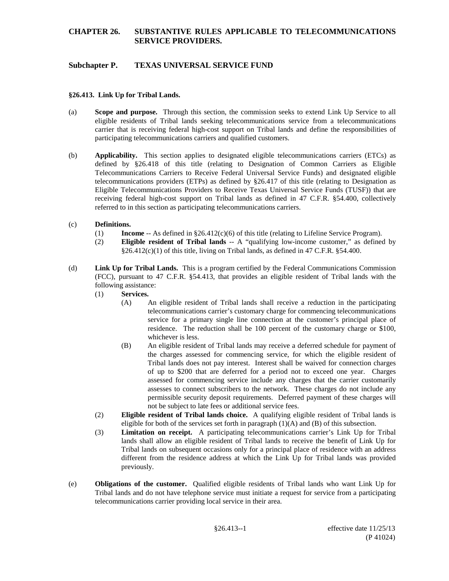# **CHAPTER 26. SUBSTANTIVE RULES APPLICABLE TO TELECOMMUNICATIONS SERVICE PROVIDERS.**

# **Subchapter P. TEXAS UNIVERSAL SERVICE FUND**

#### **§26.413. Link Up for Tribal Lands.**

- (a) **Scope and purpose.** Through this section, the commission seeks to extend Link Up Service to all eligible residents of Tribal lands seeking telecommunications service from a telecommunications carrier that is receiving federal high-cost support on Tribal lands and define the responsibilities of participating telecommunications carriers and qualified customers.
- (b) **Applicability.** This section applies to designated eligible telecommunications carriers (ETCs) as defined by §26.418 of this title (relating to Designation of Common Carriers as Eligible Telecommunications Carriers to Receive Federal Universal Service Funds) and designated eligible telecommunications providers (ETPs) as defined by §26.417 of this title (relating to Designation as Eligible Telecommunications Providers to Receive Texas Universal Service Funds (TUSF)) that are receiving federal high-cost support on Tribal lands as defined in 47 C.F.R. §54.400, collectively referred to in this section as participating telecommunications carriers.

#### (c) **Definitions.**

- (1) **Income** -- As defined in §26.412(c)(6) of this title (relating to Lifeline Service Program).
- (2) **Eligible resident of Tribal lands** -- A "qualifying low-income customer," as defined by §26.412(c)(1) of this title, living on Tribal lands, as defined in 47 C.F.R. §54.400.
- (d) **Link Up for Tribal Lands.** This is a program certified by the Federal Communications Commission (FCC), pursuant to 47 C.F.R. §54.413, that provides an eligible resident of Tribal lands with the following assistance:
	- (1) **Services.**
		- (A) An eligible resident of Tribal lands shall receive a reduction in the participating telecommunications carrier's customary charge for commencing telecommunications service for a primary single line connection at the customer's principal place of residence. The reduction shall be 100 percent of the customary charge or \$100, whichever is less.
		- (B) An eligible resident of Tribal lands may receive a deferred schedule for payment of the charges assessed for commencing service, for which the eligible resident of Tribal lands does not pay interest. Interest shall be waived for connection charges of up to \$200 that are deferred for a period not to exceed one year. Charges assessed for commencing service include any charges that the carrier customarily assesses to connect subscribers to the network. These charges do not include any permissible security deposit requirements. Deferred payment of these charges will not be subject to late fees or additional service fees.
	- (2) **Eligible resident of Tribal lands choice.** A qualifying eligible resident of Tribal lands is eligible for both of the services set forth in paragraph  $(1)(A)$  and  $(B)$  of this subsection.
	- (3) **Limitation on receipt.** A participating telecommunications carrier's Link Up for Tribal lands shall allow an eligible resident of Tribal lands to receive the benefit of Link Up for Tribal lands on subsequent occasions only for a principal place of residence with an address different from the residence address at which the Link Up for Tribal lands was provided previously.
- (e) **Obligations of the customer.** Qualified eligible residents of Tribal lands who want Link Up for Tribal lands and do not have telephone service must initiate a request for service from a participating telecommunications carrier providing local service in their area.